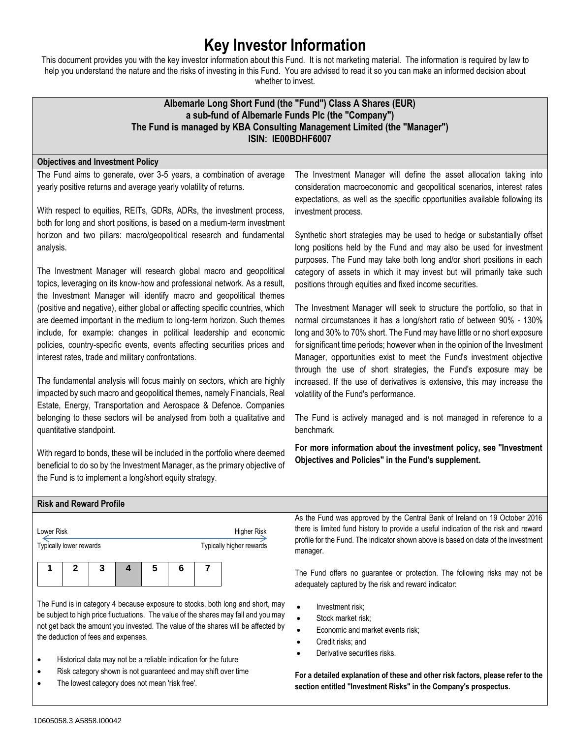# **Key Investor Information**

This document provides you with the key investor information about this Fund. It is not marketing material. The information is required by law to help you understand the nature and the risks of investing in this Fund. You are advised to read it so you can make an informed decision about whether to invest.

# **Albemarle Long Short Fund (the "Fund") Class A Shares (EUR) a sub-fund of Albemarle Funds Plc (the "Company") The Fund is managed by KBA Consulting Management Limited (the "Manager") ISIN: IE00BDHF6007**

## **Objectives and Investment Policy**

The Fund aims to generate, over 3-5 years, a combination of average yearly positive returns and average yearly volatility of returns.

With respect to equities, REITs, GDRs, ADRs, the investment process, both for long and short positions, is based on a medium-term investment horizon and two pillars: macro/geopolitical research and fundamental analysis.

The Investment Manager will research global macro and geopolitical topics, leveraging on its know-how and professional network. As a result, the Investment Manager will identify macro and geopolitical themes (positive and negative), either global or affecting specific countries, which are deemed important in the medium to long-term horizon. Such themes include, for example: changes in political leadership and economic policies, country-specific events, events affecting securities prices and interest rates, trade and military confrontations.

The fundamental analysis will focus mainly on sectors, which are highly impacted by such macro and geopolitical themes, namely Financials, Real Estate, Energy, Transportation and Aerospace & Defence. Companies belonging to these sectors will be analysed from both a qualitative and quantitative standpoint.

With regard to bonds, these will be included in the portfolio where deemed beneficial to do so by the Investment Manager, as the primary objective of the Fund is to implement a long/short equity strategy.

The Investment Manager will define the asset allocation taking into consideration macroeconomic and geopolitical scenarios, interest rates expectations, as well as the specific opportunities available following its investment process.

Synthetic short strategies may be used to hedge or substantially offset long positions held by the Fund and may also be used for investment purposes. The Fund may take both long and/or short positions in each category of assets in which it may invest but will primarily take such positions through equities and fixed income securities.

The Investment Manager will seek to structure the portfolio, so that in normal circumstances it has a long/short ratio of between 90% - 130% long and 30% to 70% short. The Fund may have little or no short exposure for significant time periods; however when in the opinion of the Investment Manager, opportunities exist to meet the Fund's investment objective through the use of short strategies, the Fund's exposure may be increased. If the use of derivatives is extensive, this may increase the volatility of the Fund's performance.

The Fund is actively managed and is not managed in reference to a benchmark.

**For more information about the investment policy, see "Investment Objectives and Policies" in the Fund's supplement.**

| <b>Risk and Reward Profile</b> |                    |                                                                                     |
|--------------------------------|--------------------|-------------------------------------------------------------------------------------|
|                                |                    | As the Fund was approved by the Central Bank of Ireland on 19 October 2016          |
| Lower Risk                     | <b>Higher Risk</b> | there is limited fund history to provide a useful indication of the risk and reward |

|  | Typically lower rewards |  |  | .<br>Typically higher rewards |
|--|-------------------------|--|--|-------------------------------|
|  |                         |  |  |                               |

The Fund is in category 4 because exposure to stocks, both long and short, may be subject to high price fluctuations. The value of the shares may fall and you may not get back the amount you invested. The value of the shares will be affected by the deduction of fees and expenses.

- Historical data may not be a reliable indication for the future
- Risk category shown is not guaranteed and may shift over time
- The lowest category does not mean 'risk free'.

there is limited fund history to provide a useful indication of the risk and reward profile for the Fund. The indicator shown above is based on data of the investment manager.

The Fund offers no guarantee or protection. The following risks may not be adequately captured by the risk and reward indicator:

- Investment risk;
- Stock market risk;
- Economic and market events risk;
- Credit risks; and
- Derivative securities risks.

**For a detailed explanation of these and other risk factors, please refer to the section entitled "Investment Risks" in the Company's prospectus.**